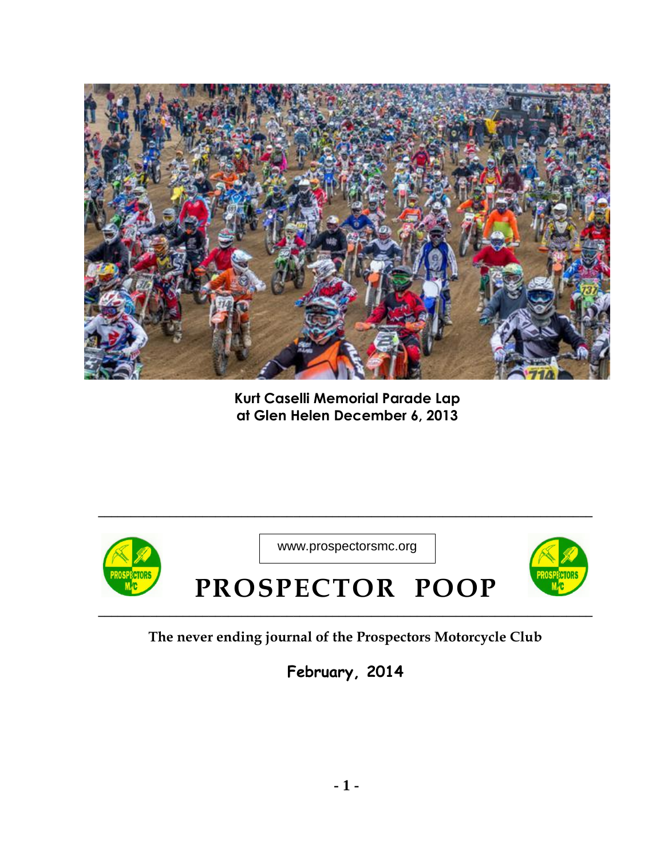

**Kurt Caselli Memorial Parade Lap at Glen Helen December 6, 2013**



**The never ending journal of the Prospectors Motorcycle Club**

**February, 2014**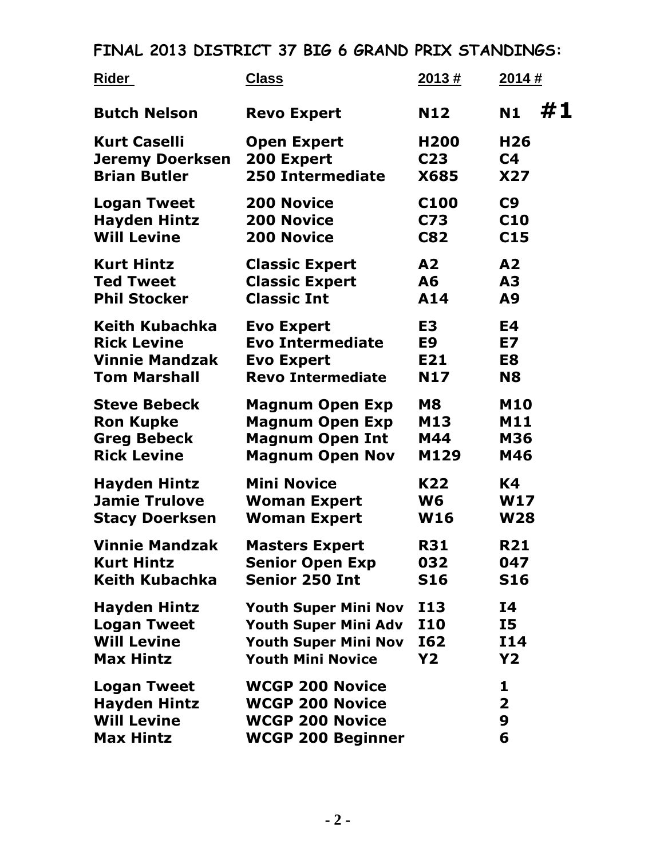## **FINAL 2013 DISTRICT 37 BIG 6 GRAND PRIX STANDINGS:**

| Rider                  | <b>Class</b>                | 2013#            | 2014#           |
|------------------------|-----------------------------|------------------|-----------------|
| <b>Butch Nelson</b>    | <b>Revo Expert</b>          | <b>N12</b>       | #1<br><b>N1</b> |
| <b>Kurt Caselli</b>    | <b>Open Expert</b>          | H <sub>200</sub> | H <sub>26</sub> |
| <b>Jeremy Doerksen</b> | 200 Expert                  | C <sub>23</sub>  | C <sub>4</sub>  |
| <b>Brian Butler</b>    | <b>250 Intermediate</b>     | <b>X685</b>      | <b>X27</b>      |
| <b>Logan Tweet</b>     | <b>200 Novice</b>           | C <sub>100</sub> | C9              |
| <b>Hayden Hintz</b>    | <b>200 Novice</b>           | C73              | C <sub>10</sub> |
| <b>Will Levine</b>     | <b>200 Novice</b>           | <b>C82</b>       | C <sub>15</sub> |
| <b>Kurt Hintz</b>      | <b>Classic Expert</b>       | A2               | A <sub>2</sub>  |
| <b>Ted Tweet</b>       | <b>Classic Expert</b>       | A6               | A <sub>3</sub>  |
| <b>Phil Stocker</b>    | <b>Classic Int</b>          | A14              | A9              |
| Keith Kubachka         | <b>Evo Expert</b>           | E <sub>3</sub>   | E4              |
| <b>Rick Levine</b>     | <b>Evo Intermediate</b>     | E9               | E7              |
| <b>Vinnie Mandzak</b>  | <b>Evo Expert</b>           | E21              | E8              |
| <b>Tom Marshall</b>    | <b>Revo Intermediate</b>    | N17              | <b>N8</b>       |
| <b>Steve Bebeck</b>    | <b>Magnum Open Exp</b>      | <b>M8</b>        | <b>M10</b>      |
| <b>Ron Kupke</b>       | <b>Magnum Open Exp</b>      | M13              | <b>M11</b>      |
| <b>Greg Bebeck</b>     | <b>Magnum Open Int</b>      | M44              | <b>M36</b>      |
| <b>Rick Levine</b>     | <b>Magnum Open Nov</b>      | M129             | M46             |
| <b>Hayden Hintz</b>    | <b>Mini Novice</b>          | K22              | K4              |
| <b>Jamie Trulove</b>   | <b>Woman Expert</b>         | W6               | <b>W17</b>      |
| <b>Stacy Doerksen</b>  | <b>Woman Expert</b>         | <b>W16</b>       | <b>W28</b>      |
| <b>Vinnie Mandzak</b>  | <b>Masters Expert</b>       | <b>R31</b>       | <b>R21</b>      |
| <b>Kurt Hintz</b>      | <b>Senior Open Exp</b>      | 032              | 047             |
| Keith Kubachka         | <b>Senior 250 Int</b>       | <b>S16</b>       | <b>S16</b>      |
| <b>Hayden Hintz</b>    | <b>Youth Super Mini Nov</b> | <b>I13</b>       | <b>I4</b>       |
| <b>Logan Tweet</b>     | <b>Youth Super Mini Adv</b> | <b>I10</b>       | <b>I5</b>       |
| <b>Will Levine</b>     | <b>Youth Super Mini Nov</b> | I62              | <b>I14</b>      |
| <b>Max Hintz</b>       | <b>Youth Mini Novice</b>    | <b>Y2</b>        | <b>Y2</b>       |
| <b>Logan Tweet</b>     | <b>WCGP 200 Novice</b>      |                  | 1               |
| <b>Hayden Hintz</b>    | <b>WCGP 200 Novice</b>      |                  | $\mathbf{2}$    |
| <b>Will Levine</b>     | <b>WCGP 200 Novice</b>      |                  | 9               |
| <b>Max Hintz</b>       | <b>WCGP 200 Beginner</b>    |                  | 6               |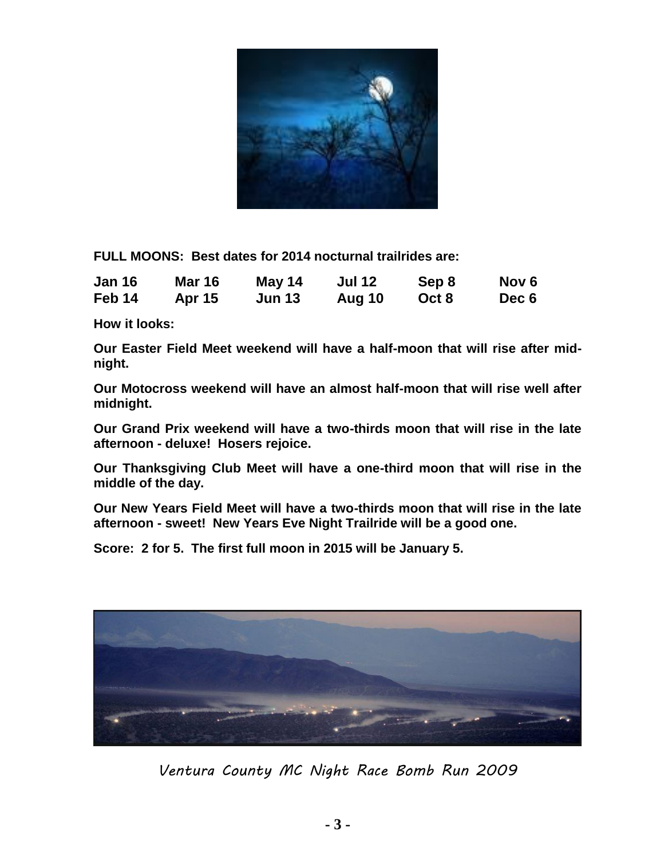

**FULL MOONS: Best dates for 2014 nocturnal trailrides are:** 

| <b>Jan 16</b> | <b>Mar 16</b> | May 14        | <b>Jul 12</b> | Sep 8 | Nov 6 |
|---------------|---------------|---------------|---------------|-------|-------|
| Feb 14        | <b>Apr 15</b> | <b>Jun 13</b> | Aug 10        | Oct 8 | Dec 6 |

**How it looks:** 

**Our Easter Field Meet weekend will have a half-moon that will rise after midnight.** 

**Our Motocross weekend will have an almost half-moon that will rise well after midnight.** 

**Our Grand Prix weekend will have a two-thirds moon that will rise in the late afternoon - deluxe! Hosers rejoice.** 

**Our Thanksgiving Club Meet will have a one-third moon that will rise in the middle of the day.** 

**Our New Years Field Meet will have a two-thirds moon that will rise in the late afternoon - sweet! New Years Eve Night Trailride will be a good one.** 

**Score: 2 for 5. The first full moon in 2015 will be January 5.** 



*Ventura County MC Night Race Bomb Run 2009*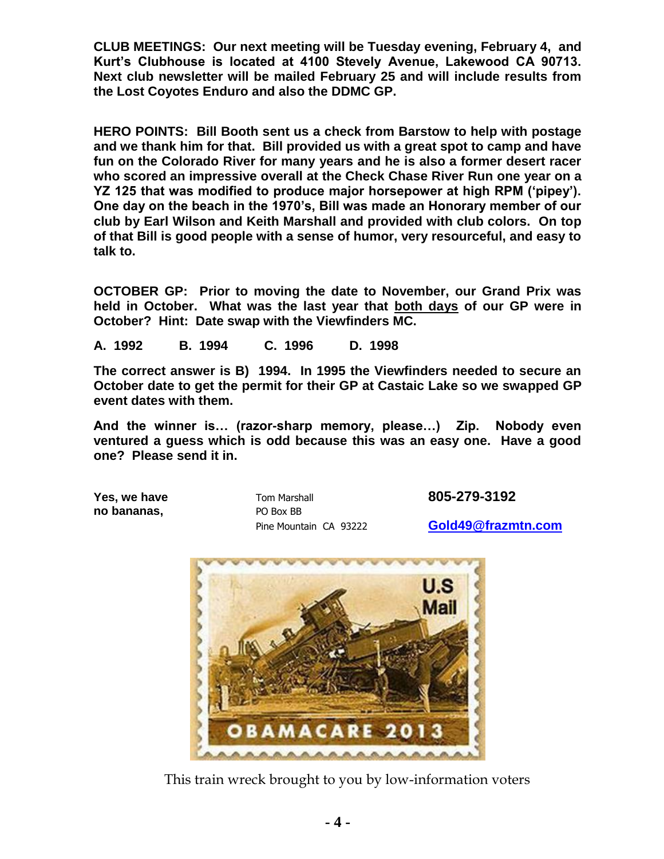**CLUB MEETINGS: Our next meeting will be Tuesday evening, February 4, and Kurt's Clubhouse is located at 4100 Stevely Avenue, Lakewood CA 90713. Next club newsletter will be mailed February 25 and will include results from the Lost Coyotes Enduro and also the DDMC GP.** 

**HERO POINTS: Bill Booth sent us a check from Barstow to help with postage and we thank him for that. Bill provided us with a great spot to camp and have fun on the Colorado River for many years and he is also a former desert racer who scored an impressive overall at the Check Chase River Run one year on a YZ 125 that was modified to produce major horsepower at high RPM ('pipey'). One day on the beach in the 1970's, Bill was made an Honorary member of our club by Earl Wilson and Keith Marshall and provided with club colors. On top of that Bill is good people with a sense of humor, very resourceful, and easy to talk to.** 

**OCTOBER GP: Prior to moving the date to November, our Grand Prix was held in October. What was the last year that both days of our GP were in October? Hint: Date swap with the Viewfinders MC.** 

**A. 1992 B. 1994 C. 1996 D. 1998** 

**The correct answer is B) 1994. In 1995 the Viewfinders needed to secure an October date to get the permit for their GP at Castaic Lake so we swapped GP event dates with them.** 

**And the winner is… (razor-sharp memory, please…) Zip. Nobody even ventured a guess which is odd because this was an easy one. Have a good one? Please send it in.** 

**no bananas,** PO Box BB

**Yes, we have**  $\frac{1}{2}$  **Tom Marshall <b>805-279-3192** 

Pine Mountain CA 93222 **[Gold49@frazmtn.com](mailto:Gold49@frazmtn.com)**



This train wreck brought to you by low-information voters